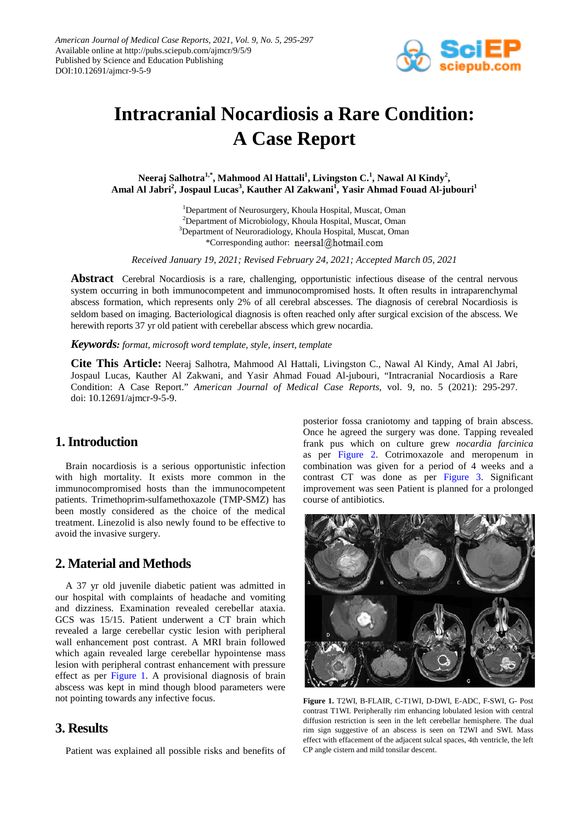

# **Intracranial Nocardiosis a Rare Condition: A Case Report**

Neeraj Salhotra<sup>1,\*</sup>, Mahmood Al Hattali<sup>1</sup>, Livingston C.<sup>1</sup>, Nawal Al Kindy<sup>2</sup>, Amal Al Jabri<sup>2</sup>, Jospaul Lucas<sup>3</sup>, Kauther Al Zakwani<sup>1</sup>, Yasir Ahmad Fouad Al-jubouri<sup>1</sup>

> <sup>1</sup>Department of Neurosurgery, Khoula Hospital, Muscat, Oman <sup>2</sup>Department of Microbiology, Khoula Hospital, Muscat, Oman <sup>3</sup>Department of Neuroradiology, Khoula Hospital, Muscat, Oman \*Corresponding author: neersal@hotmail.com

*Received January 19, 2021; Revised February 24, 2021; Accepted March 05, 2021*

**Abstract** Cerebral Nocardiosis is a rare, challenging, opportunistic infectious disease of the central nervous system occurring in both immunocompetent and immunocompromised hosts. It often results in intraparenchymal abscess formation, which represents only 2% of all cerebral abscesses. The diagnosis of cerebral Nocardiosis is seldom based on imaging. Bacteriological diagnosis is often reached only after surgical excision of the abscess. We herewith reports 37 yr old patient with cerebellar abscess which grew nocardia.

*Keywords: format, microsoft word template, style, insert, template*

**Cite This Article:** Neeraj Salhotra, Mahmood Al Hattali, Livingston C., Nawal Al Kindy, Amal Al Jabri, Jospaul Lucas, Kauther Al Zakwani, and Yasir Ahmad Fouad Al-jubouri, "Intracranial Nocardiosis a Rare Condition: A Case Report." *American Journal of Medical Case Reports*, vol. 9, no. 5 (2021): 295-297. doi: 10.12691/ajmcr-9-5-9.

## **1. Introduction**

Brain nocardiosis is a serious opportunistic infection with high mortality. It exists more common in the immunocompromised hosts than the immunocompetent patients. Trimethoprim-sulfamethoxazole (TMP-SMZ) has been mostly considered as the choice of the medical treatment. Linezolid is also newly found to be effective to avoid the invasive surgery.

#### **2. Material and Methods**

A 37 yr old juvenile diabetic patient was admitted in our hospital with complaints of headache and vomiting and dizziness. Examination revealed cerebellar ataxia. GCS was 15/15. Patient underwent a CT brain which revealed a large cerebellar cystic lesion with peripheral wall enhancement post contrast. A MRI brain followed which again revealed large cerebellar hypointense mass lesion with peripheral contrast enhancement with pressure effect as per [Figure 1.](#page-0-0) A provisional diagnosis of brain abscess was kept in mind though blood parameters were not pointing towards any infective focus.

#### **3. Results**

Patient was explained all possible risks and benefits of

posterior fossa craniotomy and tapping of brain abscess. Once he agreed the surgery was done. Tapping revealed frank pus which on culture grew *nocardia farcinica*  as per [Figure 2.](#page-1-0) Cotrimoxazole and meropenum in combination was given for a period of 4 weeks and a contrast CT was done as per [Figure 3.](#page-1-1) Significant improvement was seen Patient is planned for a prolonged course of antibiotics.

<span id="page-0-0"></span>

**Figure 1.** T2WI, B-FLAIR, C-T1WI, D-DWI, E-ADC, F-SWI, G- Post contrast T1WI. Peripherally rim enhancing lobulated lesion with central diffusion restriction is seen in the left cerebellar hemisphere. The dual rim sign suggestive of an abscess is seen on T2WI and SWI. Mass effect with effacement of the adjacent sulcal spaces, 4th ventricle, the left CP angle cistern and mild tonsilar descent.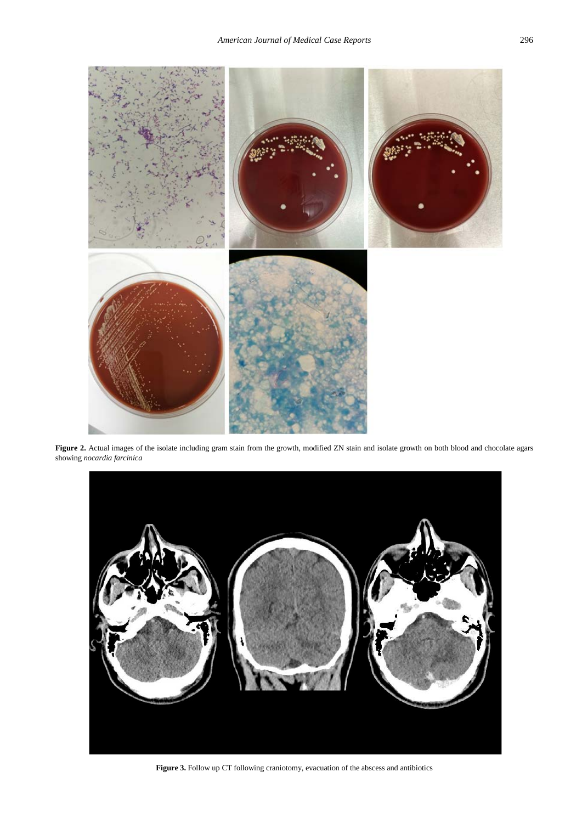<span id="page-1-0"></span>

Figure 2. Actual images of the isolate including gram stain from the growth, modified ZN stain and isolate growth on both blood and chocolate agars showing *nocardia farcinica*

<span id="page-1-1"></span>

**Figure 3.** Follow up CT following craniotomy, evacuation of the abscess and antibiotics